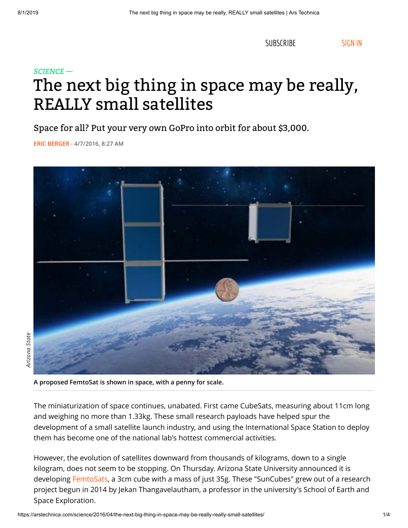[SUBSCRIBE](https://arstechnica.com/store/product/subscriptions/) [SIGN IN](https://arstechnica.com/civis/ucp.php?mode=login&return_to=%2Fscience%2F2016%2F04%2Fthe-next-big-thing-in-space-may-be-really-really-small-satellites%2F)

# *SCIENCE —* The next big thing in space may be really, REALLY small satellites

Space for all? Put your very own GoPro into orbit for about \$3,000.

**- 4/7/2016, 8:27 AM [ERIC BERGER](https://arstechnica.com/author/ericberger/)**



**A proposed FemtoSat is shown in space, with a penny for scale.**

The miniaturization of space continues, unabated. First came CubeSats, measuring about 11cm long and weighing no more than 1.33kg. These small research payloads have helped spur the development of a small satellite launch industry, and using the International Space Station to deploy them has become one of the national lab's hottest commercial activities.

However, the evolution of satellites downward from thousands of kilograms, down to a single kilogram, does not seem to be stopping. On Thursday. Arizona State University announced it is developing [FemtoSats,](http://suncube.asu.edu/) a 3cm cube with a mass of just 35g. These "SunCubes" grew out of a research project begun in 2014 by Jekan Thangavelautham, a professor in the university's School of Earth and Space Exploration.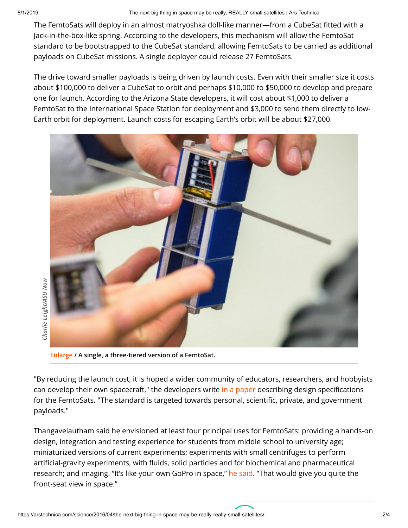8/1/2019 The next big thing in space may be really, REALLY small satellites | Ars Technica

The FemtoSats will deploy in an almost matryoshka doll-like manner—from a CubeSat fitted with a Jack-in-the-box-like spring. According to the developers, this mechanism will allow the FemtoSat standard to be bootstrapped to the CubeSat standard, allowing FemtoSats to be carried as additional payloads on CubeSat missions. A single deployer could release 27 FemtoSats.

The drive toward smaller payloads is being driven by launch costs. Even with their smaller size it costs about \$100,000 to deliver a CubeSat to orbit and perhaps \$10,000 to \$50,000 to develop and prepare one for launch. According to the Arizona State developers, it will cost about \$1,000 to deliver a FemtoSat to the International Space Station for deployment and \$3,000 to send them directly to low-Earth orbit for deployment. Launch costs for escaping Earth's orbit will be about \$27,000.



**[Enlarge](https://cdn.arstechnica.net/wp-content/uploads/2016/04/femtoats1.jpg) / A single, a three-tiered version of a FemtoSat.**

"By reducing the launch cost, it is hoped a wider community of educators, researchers, and hobbyists can develop their own spacecraft," the developers write [in a paper](http://femtosat.asu.edu/suncube_femtosat_design_specifications_v1.pdf) describing design specifications for the FemtoSats. "The standard is targeted towards personal, scientific, private, and government payloads."

Thangavelautham said he envisioned at least four principal uses for FemtoSats: providing a hands-on design, integration and testing experience for students from middle school to university age; miniaturized versions of current experiments; experiments with small centrifuges to perform artificial-gravity experiments, with fluids, solid particles and for biochemical and pharmaceutical research; and imaging. "It's like your own GoPro in space," [he said](https://asunow.asu.edu/20160406-creativity-asu-suncube-femtosat-space-exploration-for-everyone). "That would give you quite the front-seat view in space."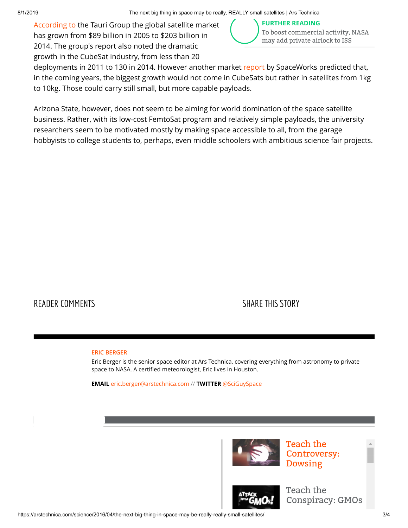[According to](http://www.sia.org/wp-content/uploads/2015/06/Mktg15-SSIR-2015-FINAL-Compressed.pdf) the Tauri Group the global satellite market has grown from \$89 billion in 2005 to \$203 billion in 2014. The group's report also noted the dramatic growth in the CubeSat industry, from less than 20



deployments in 2011 to 130 in 2014. However another market [report](http://www.sei.aero/eng/papers/uploads/archive/SpaceWorks_Nano_Microsatellite_Market_Assessment_January_2014.pdf) by SpaceWorks predicted that, in the coming years, the biggest growth would not come in CubeSats but rather in satellites from 1kg to 10kg. Those could carry still small, but more capable payloads.

Arizona State, however, does not seem to be aiming for world domination of the space satellite business. Rather, with its low-cost FemtoSat program and relatively simple payloads, the university researchers seem to be motivated mostly by making space accessible to all, from the garage hobbyists to college students to, perhaps, even middle schoolers with ambitious science fair projects.

### [READER COMMENTS](https://arstechnica.com/science/2016/04/the-next-big-thing-in-space-may-be-really-really-small-satellites/?comments=1) SHARE THIS STORY

#### **[ERIC BERGER](https://arstechnica.com/author/ericberger)**

Eric Berger is the senior space editor at Ars Technica, covering everything from astronomy to private space to NASA. A certified meteorologist, Eric lives in Houston.

**EMAIL** [eric.berger@arstechnica.com](mailto:eric.berger@arstechnica.com) // **TWITTER** [@SciGuySpace](https://www.twitter.com/SciGuySpace)



Teach the [Controversy:](http://video.arstechnica.com/watch/teach-the-controversy-dowsing) Dowsing



Teach the [Conspiracy: GMOs](http://video.arstechnica.com/watch/controversy-gmos)